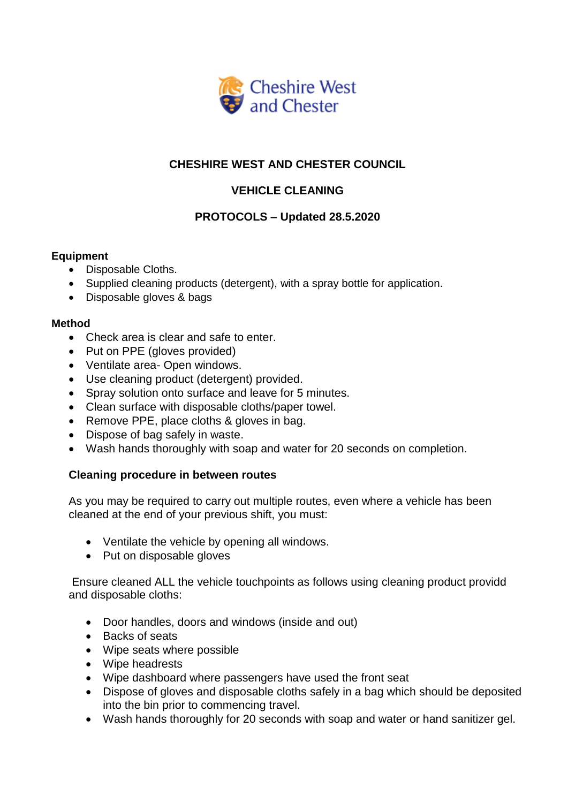

# **CHESHIRE WEST AND CHESTER COUNCIL**

## **VEHICLE CLEANING**

### **PROTOCOLS – Updated 28.5.2020**

### **Equipment**

- Disposable Cloths.
- Supplied cleaning products (detergent), with a spray bottle for application.
- Disposable gloves & bags

#### **Method**

- Check area is clear and safe to enter.
- Put on PPE (gloves provided)
- Ventilate area- Open windows.
- Use cleaning product (detergent) provided.
- Spray solution onto surface and leave for 5 minutes.
- Clean surface with disposable cloths/paper towel.
- Remove PPE, place cloths & gloves in bag.
- Dispose of bag safely in waste.
- Wash hands thoroughly with soap and water for 20 seconds on completion.

### **Cleaning procedure in between routes**

As you may be required to carry out multiple routes, even where a vehicle has been cleaned at the end of your previous shift, you must:

- Ventilate the vehicle by opening all windows.
- Put on disposable gloves

Ensure cleaned ALL the vehicle touchpoints as follows using cleaning product providd and disposable cloths:

- Door handles, doors and windows (inside and out)
- Backs of seats
- Wipe seats where possible
- Wipe headrests
- Wipe dashboard where passengers have used the front seat
- Dispose of gloves and disposable cloths safely in a bag which should be deposited into the bin prior to commencing travel.
- Wash hands thoroughly for 20 seconds with soap and water or hand sanitizer gel.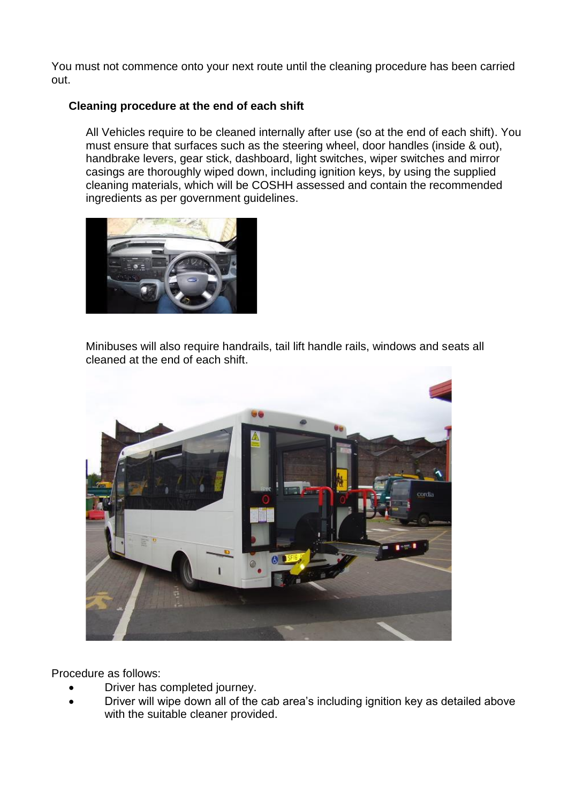You must not commence onto your next route until the cleaning procedure has been carried out.

#### **Cleaning procedure at the end of each shift**

All Vehicles require to be cleaned internally after use (so at the end of each shift). You must ensure that surfaces such as the steering wheel, door handles (inside & out), handbrake levers, gear stick, dashboard, light switches, wiper switches and mirror casings are thoroughly wiped down, including ignition keys, by using the supplied cleaning materials, which will be COSHH assessed and contain the recommended ingredients as per government guidelines.



Minibuses will also require handrails, tail lift handle rails, windows and seats all cleaned at the end of each shift.



Procedure as follows:

- Driver has completed journey.
- Driver will wipe down all of the cab area's including ignition key as detailed above with the suitable cleaner provided.